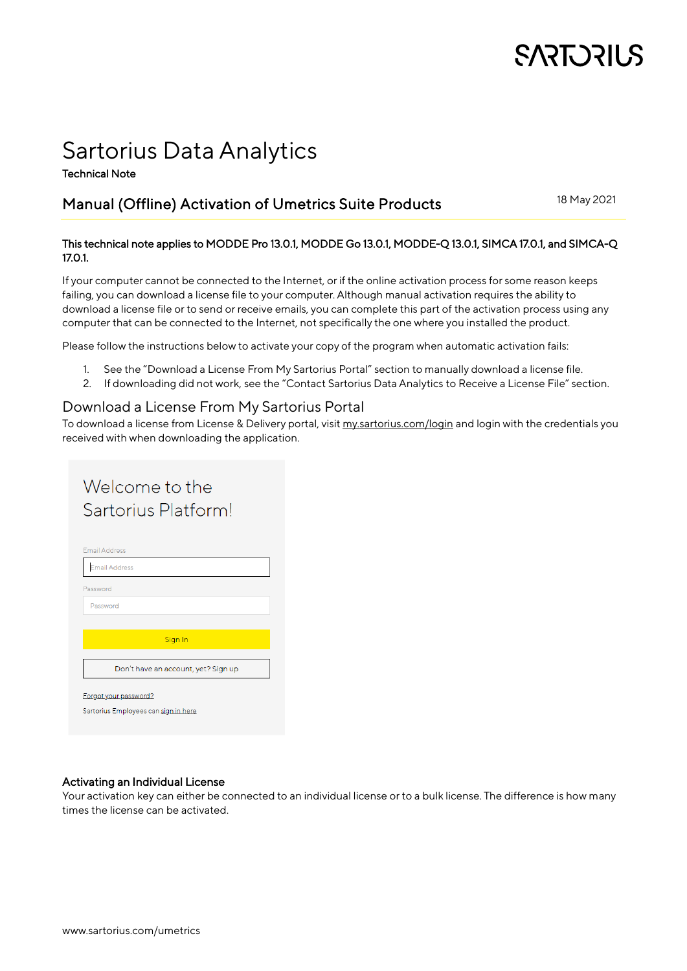# **SARTORIUS**

## Sartorius Data Analytics

Technical Note

### Manual (Offline) Activation of Umetrics Suite Products

18 May 2021

#### This technical note applies to MODDE Pro 13.0.1, MODDE Go 13.0.1, MODDE-Q 13.0.1, SIMCA 17.0.1, and SIMCA-Q 17.0.1.

If your computer cannot be connected to the Internet, or if the online activation process for some reason keeps failing, you can download a license file to your computer. Although manual activation requires the ability to download a license file or to send or receive emails, you can complete this part of the activation process using any computer that can be connected to the Internet, not specifically the one where you installed the product.

Please follow the instructions below to activate your copy of the program when automatic activation fails:

- 1. See the ["Download a License From My Sartorius](#page-0-0) Portal" section to manually download a license file.
- 2. If downloading did not work, see the ["Contact Sartorius Data Analytics](#page-1-0) to Receive a License File" section.

#### <span id="page-0-0"></span>Download a License From My Sartorius Portal

To download a license from License & Delivery portal, visit [my.sartorius.com/login](https://my.sartorius.com/login) and login with the credentials you received with when downloading the application.

| Welcome to the                       |  |  |
|--------------------------------------|--|--|
| Sartorius Platform!                  |  |  |
|                                      |  |  |
| <b>Email Address</b>                 |  |  |
| <b>Email Address</b>                 |  |  |
| Password                             |  |  |
| Password                             |  |  |
|                                      |  |  |
| Sign In                              |  |  |
| Don't have an account, yet? Sign up  |  |  |
| Forgot your password?                |  |  |
| Sartorius Employees can sign in here |  |  |
|                                      |  |  |

#### Activating an Individual License

Your activation key can either be connected to an individual license or to a bulk license. The difference is how many times the license can be activated.